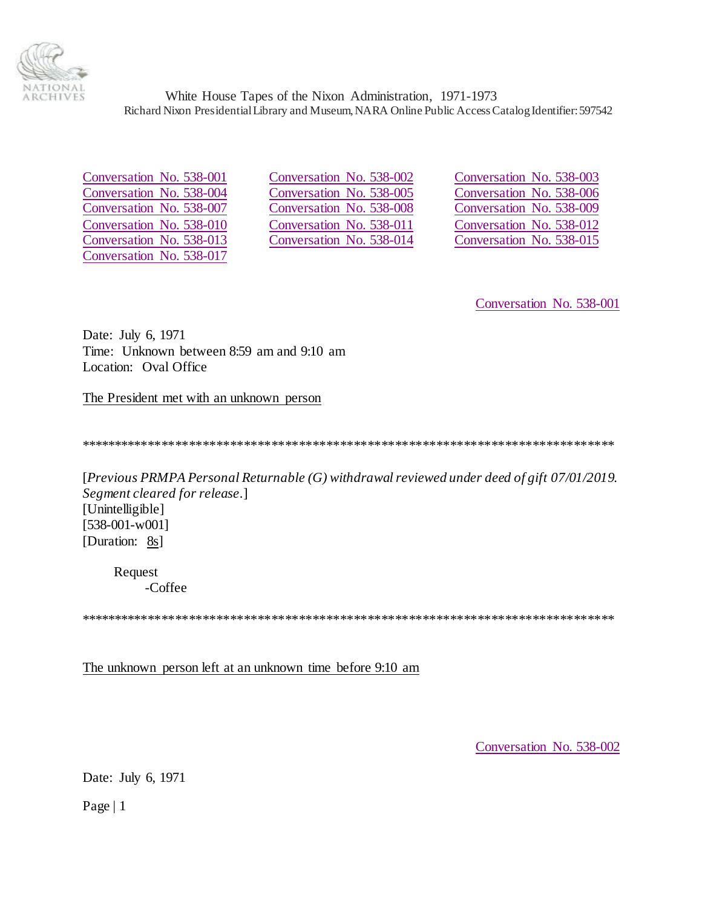

<span id="page-0-2"></span><span id="page-0-0"></span>Conversation No. 538-001 Conversation No. 538-004 Conversation No. 538-007 Conversation No. 538-010 Conversation No. 538-013 Conversation No. 538-017

Conversation No. 538-002 Conversation No. 538-005 Conversation No. 538-008 Conversation No. 538-011 Conversation No. 538-014

Conversation No. 538-003 Conversation No. 538-006 Conversation No. 538-009 Conversation No. 538-012 Conversation No. 538-015

Conversation No. 538-001

Date: July 6, 1971 Time: Unknown between 8:59 am and 9:10 am Location: Oval Office

The President met with an unknown person

[Previous PRMPA Personal Returnable  $(G)$  withdrawal reviewed under deed of gift 07/01/2019. Segment cleared for release.] [Unintelligible]  $[538-001-w001]$ [Duration: 8s]

Request -Coffee

The unknown person left at an unknown time before 9:10 am

<span id="page-0-1"></span>Conversation No. 538-002

Date: July 6, 1971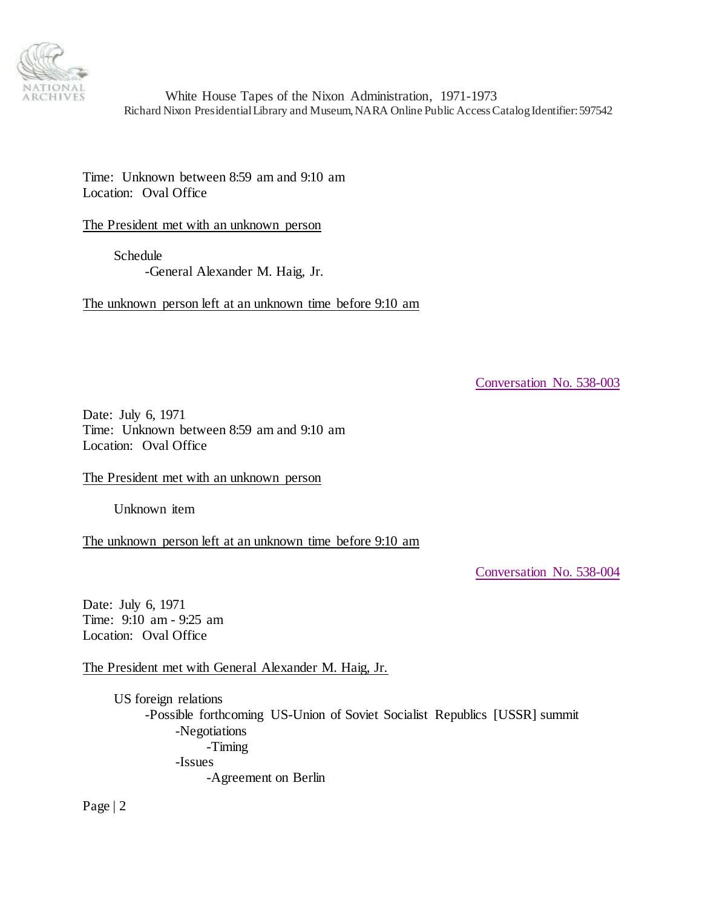

Time: Unknown between 8:59 am and 9:10 am Location: Oval Office

The President met with an unknown person

Schedule -General Alexander M. Haig, Jr.

The unknown person left at an unknown time before 9:10 am

<span id="page-1-0"></span>[Conversation No. 538-003](#page-0-2)

Date: July 6, 1971 Time: Unknown between 8:59 am and 9:10 am Location: Oval Office

The President met with an unknown person

Unknown item

The unknown person left at an unknown time before 9:10 am

<span id="page-1-1"></span>[Conversation No. 538-004](#page-0-2)

Date: July 6, 1971 Time: 9:10 am - 9:25 am Location: Oval Office

The President met with General Alexander M. Haig, Jr.

US foreign relations -Possible forthcoming US-Union of Soviet Socialist Republics [USSR] summit -Negotiations -Timing -Issues -Agreement on Berlin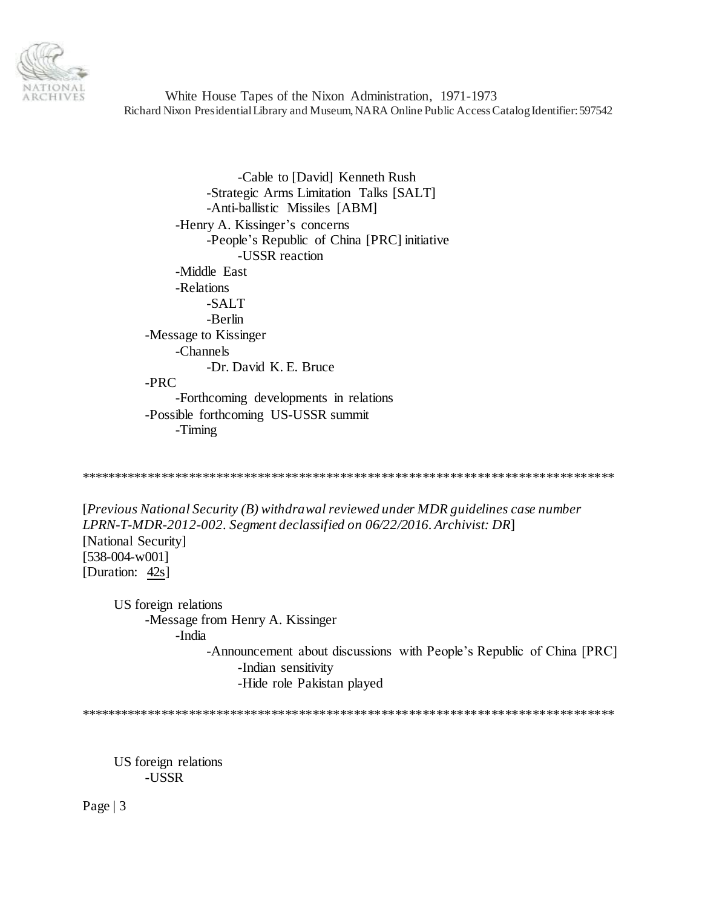

-Cable to [David] Kenneth Rush -Strategic Arms Limitation Talks [SALT] -Anti-ballistic Missiles [ABM] -Henry A. Kissinger's concerns -People's Republic of China [PRC] initiative -USSR reaction -Middle East -Relations -SALT -Berlin -Message to Kissinger -Channels -Dr. David K. E. Bruce  $-PRC$ -Forthcoming developments in relations -Possible forthcoming US-USSR summit -Timing

[Previous National Security  $(B)$  withdrawal reviewed under MDR guidelines case number LPRN-T-MDR-2012-002. Segment declassified on 06/22/2016. Archivist: DR] [National Security] [538-004-w001] [Duration: 42s]

US foreign relations -Message from Henry A. Kissinger -India -Announcement about discussions with People's Republic of China [PRC] -Indian sensitivity -Hide role Pakistan played

US foreign relations -USSR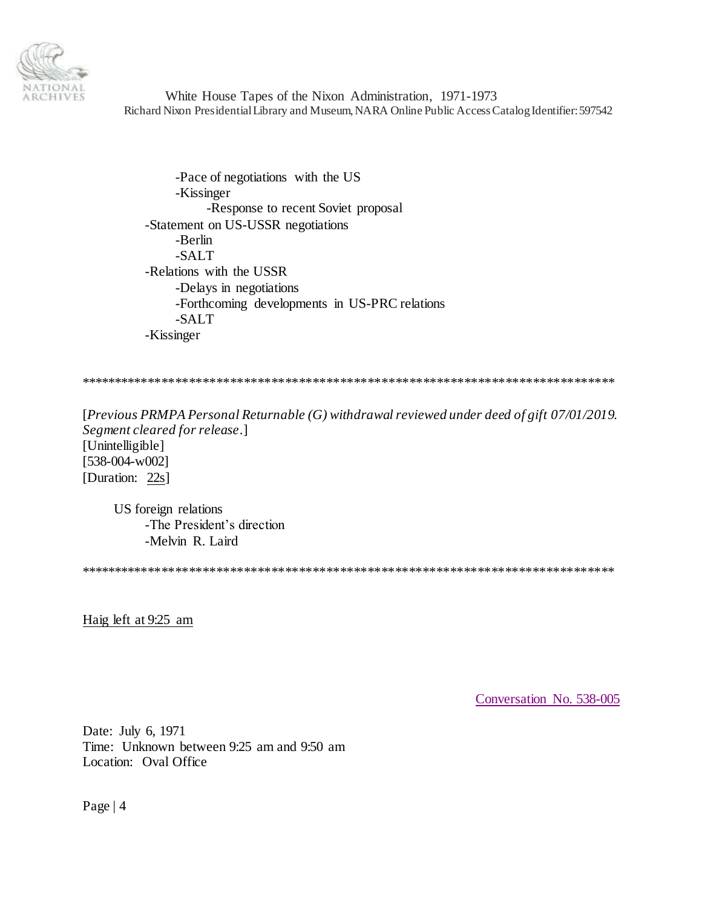

-Pace of negotiations with the US -Kissinger -Response to recent Soviet proposal -Statement on US-USSR negotiations -Berlin -SALT -Relations with the USSR -Delays in negotiations -Forthcoming developments in US-PRC relations -SALT -Kissinger

\*\*\*\*\*\*\*\*\*\*\*\*\*\*\*\*\*\*\*\*\*\*\*\*\*\*\*\*\*\*\*\*\*\*\*\*\*\*\*\*\*\*\*\*\*\*\*\*\*\*\*\*\*\*\*\*\*\*\*\*\*\*\*\*\*\*\*\*\*\*\*\*\*\*\*\*\*\*

[*Previous PRMPA Personal Returnable (G) withdrawal reviewed under deed of gift 07/01/2019. Segment cleared for release*.] [Unintelligible] [538-004-w002] [Duration: 22s]

US foreign relations -The President's direction -Melvin R. Laird

\*\*\*\*\*\*\*\*\*\*\*\*\*\*\*\*\*\*\*\*\*\*\*\*\*\*\*\*\*\*\*\*\*\*\*\*\*\*\*\*\*\*\*\*\*\*\*\*\*\*\*\*\*\*\*\*\*\*\*\*\*\*\*\*\*\*\*\*\*\*\*\*\*\*\*\*\*\*

Haig left at 9:25 am

<span id="page-3-0"></span>[Conversation No. 538-005](#page-0-2)

Date: July 6, 1971 Time: Unknown between 9:25 am and 9:50 am Location: Oval Office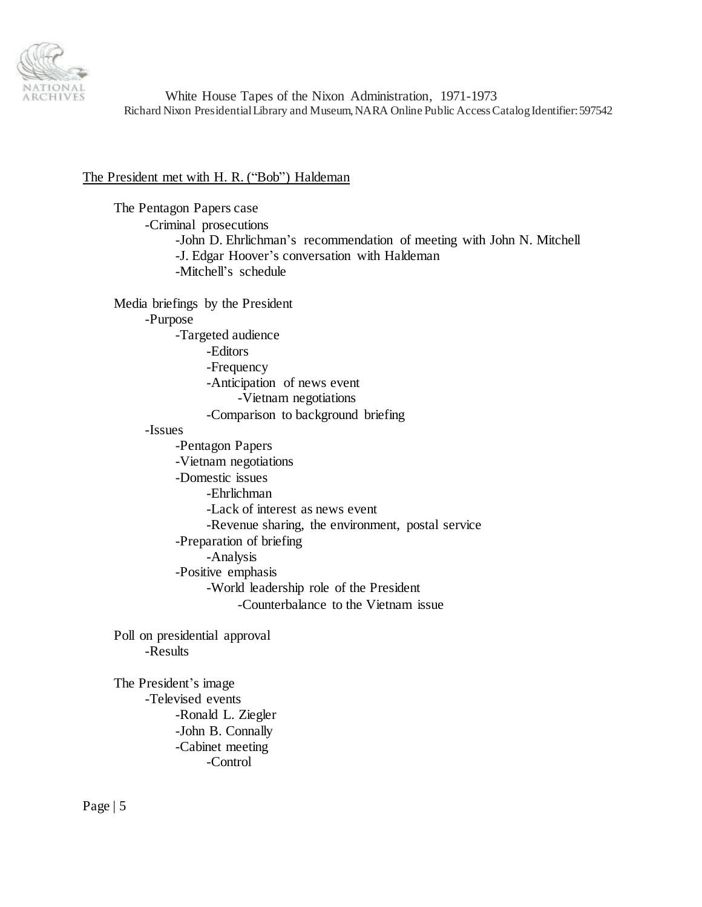

## The President met with H. R. ("Bob") Haldeman

The Pentagon Papers case -Criminal prosecutions -John D. Ehrlichman's recommendation of meeting with John N. Mitchell -J. Edgar Hoover's conversation with Haldeman -Mitchell's schedule Media briefings by the President -Purpose -Targeted audience -Editors -Frequency -Anticipation of news event -Vietnam negotiations -Comparison to background briefing -Issues -Pentagon Papers -Vietnam negotiations -Domestic issues -Ehrlichman -Lack of interest as news event -Revenue sharing, the environment, postal service -Preparation of briefing -Analysis -Positive emphasis -World leadership role of the President -Counterbalance to the Vietnam issue Poll on presidential approval -Results The President's image -Televised events -Ronald L. Ziegler

> -John B. Connally -Cabinet meeting -Control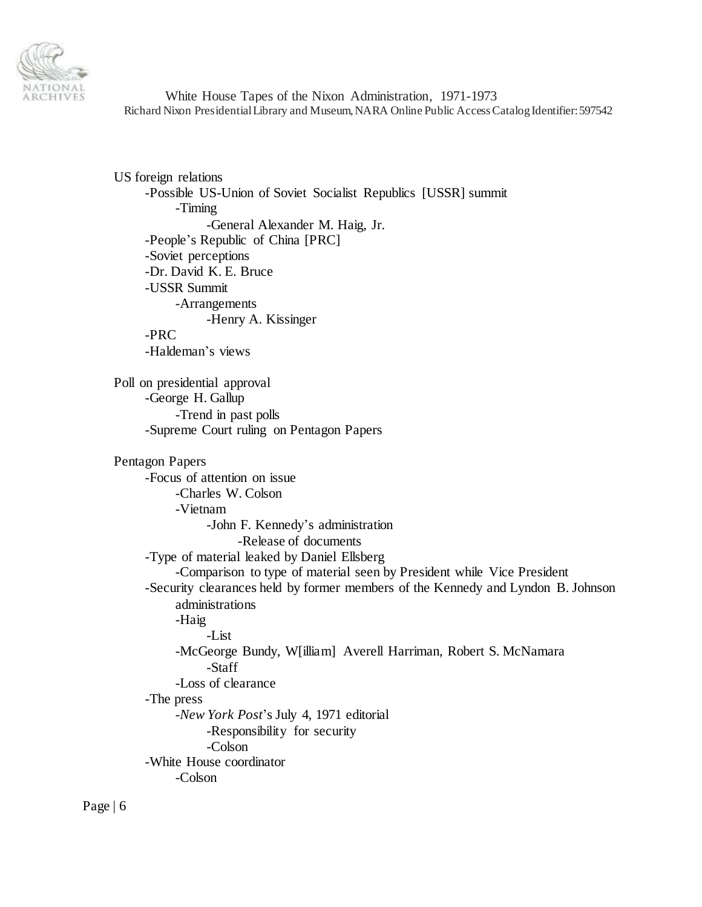

US foreign relations -Possible US-Union of Soviet Socialist Republics [USSR] summit -Timing -General Alexander M. Haig, Jr. -People's Republic of China [PRC] -Soviet perceptions -Dr. David K. E. Bruce -USSR Summit -Arrangements -Henry A. Kissinger -PRC -Haldeman's views Poll on presidential approval -George H. Gallup -Trend in past polls -Supreme Court ruling on Pentagon Papers Pentagon Papers -Focus of attention on issue -Charles W. Colson -Vietnam -John F. Kennedy's administration -Release of documents -Type of material leaked by Daniel Ellsberg -Comparison to type of material seen by President while Vice President -Security clearances held by former members of the Kennedy and Lyndon B. Johnson administrations -Haig -List -McGeorge Bundy, W[illiam] Averell Harriman, Robert S. McNamara -Staff -Loss of clearance -The press -*New York Post*'s July 4, 1971 editorial -Responsibility for security -Colson -White House coordinator -Colson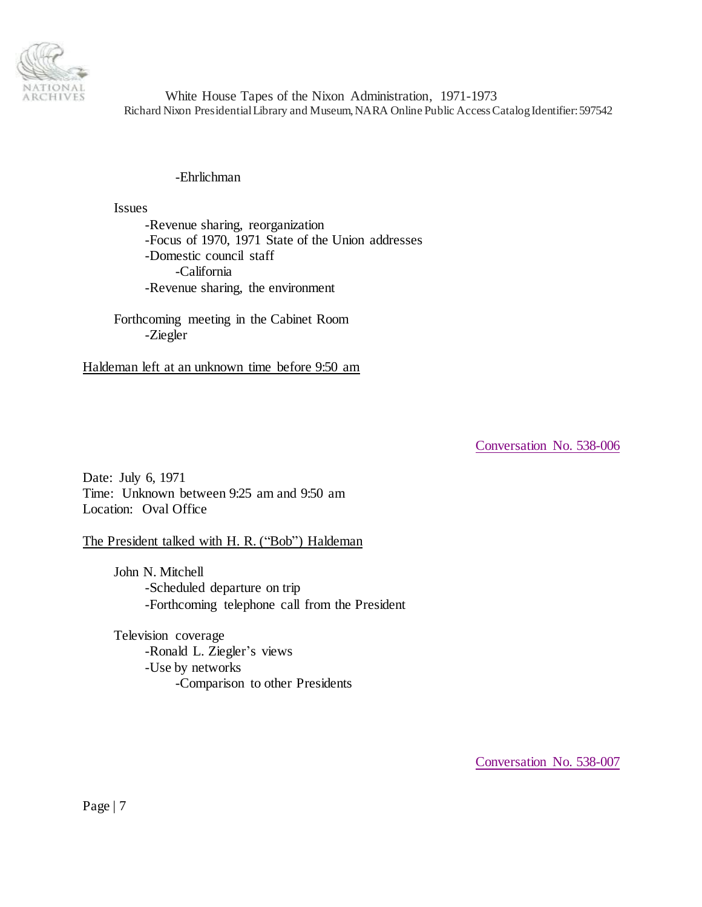

## -Ehrlichman

Issues

-Revenue sharing, reorganization -Focus of 1970, 1971 State of the Union addresses -Domestic council staff -California -Revenue sharing, the environment

Forthcoming meeting in the Cabinet Room -Ziegler

Haldeman left at an unknown time before 9:50 am

<span id="page-6-0"></span>[Conversation No. 538-006](#page-0-2)

Date: July 6, 1971 Time: Unknown between 9:25 am and 9:50 am Location: Oval Office

## The President talked with H. R. ("Bob") Haldeman

John N. Mitchell -Scheduled departure on trip -Forthcoming telephone call from the President

Television coverage -Ronald L. Ziegler's views -Use by networks -Comparison to other Presidents

<span id="page-6-1"></span>[Conversation No. 538-007](#page-0-2)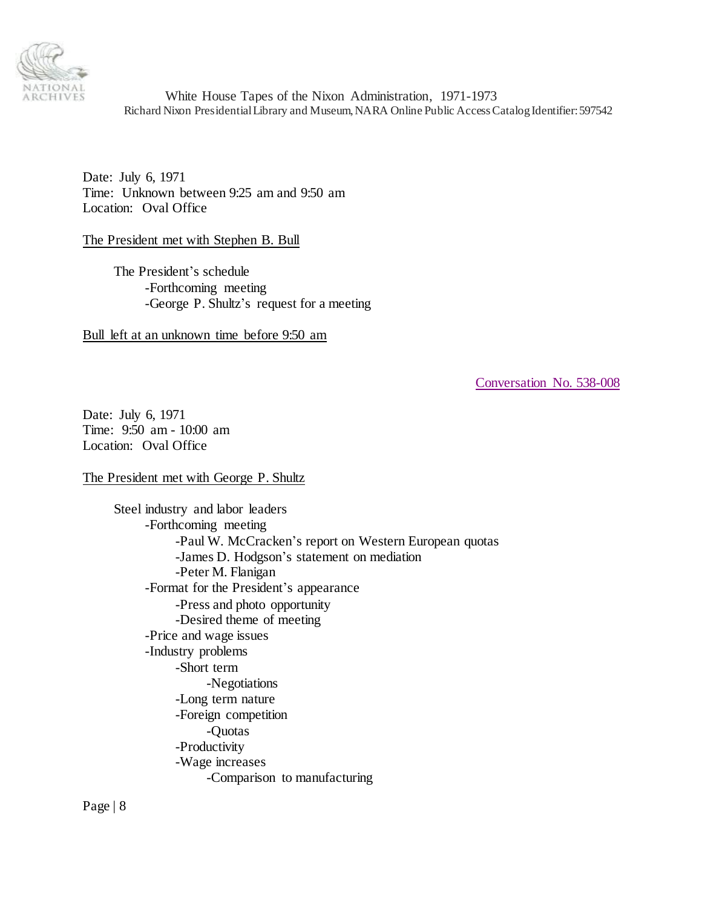

Date: July 6, 1971 Time: Unknown between 9:25 am and 9:50 am Location: Oval Office

The President met with Stephen B. Bull

The President's schedule -Forthcoming meeting -George P. Shultz's request for a meeting

Bull left at an unknown time before 9:50 am

<span id="page-7-0"></span>[Conversation No. 538-008](#page-0-2)

Date: July 6, 1971 Time: 9:50 am - 10:00 am Location: Oval Office

The President met with George P. Shultz

Steel industry and labor leaders -Forthcoming meeting -Paul W. McCracken's report on Western European quotas -James D. Hodgson's statement on mediation -Peter M. Flanigan -Format for the President's appearance -Press and photo opportunity -Desired theme of meeting -Price and wage issues -Industry problems -Short term -Negotiations -Long term nature -Foreign competition -Quotas -Productivity -Wage increases -Comparison to manufacturing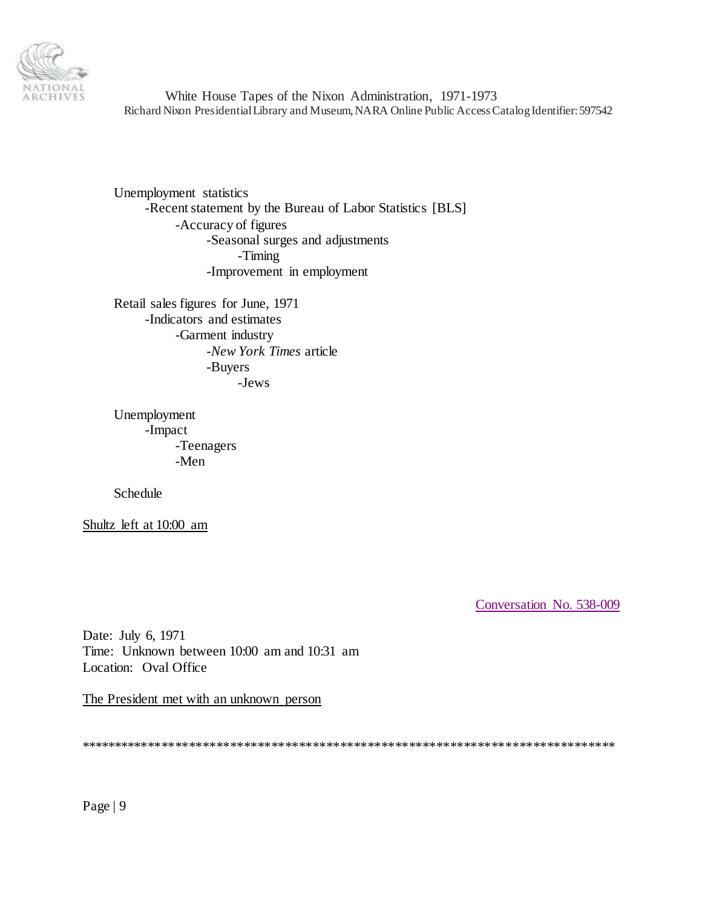

Unemployment statistics -Recent statement by the Bureau of Labor Statistics [BLS] -Accuracy of figures -Seasonal surges and adjustments -Timing -Improvement in employment

Retail sales figures for June, 1971 -Indicators and estimates -Garment industry -New York Times article -Buyers -Jews

Unemployment -Impact -Teenagers -Men

Schedule

Shultz left at 10:00 am

<span id="page-8-0"></span>Conversation No. 538-009

Date: July 6, 1971 Time: Unknown between 10:00 am and 10:31 am Location: Oval Office

The President met with an unknown person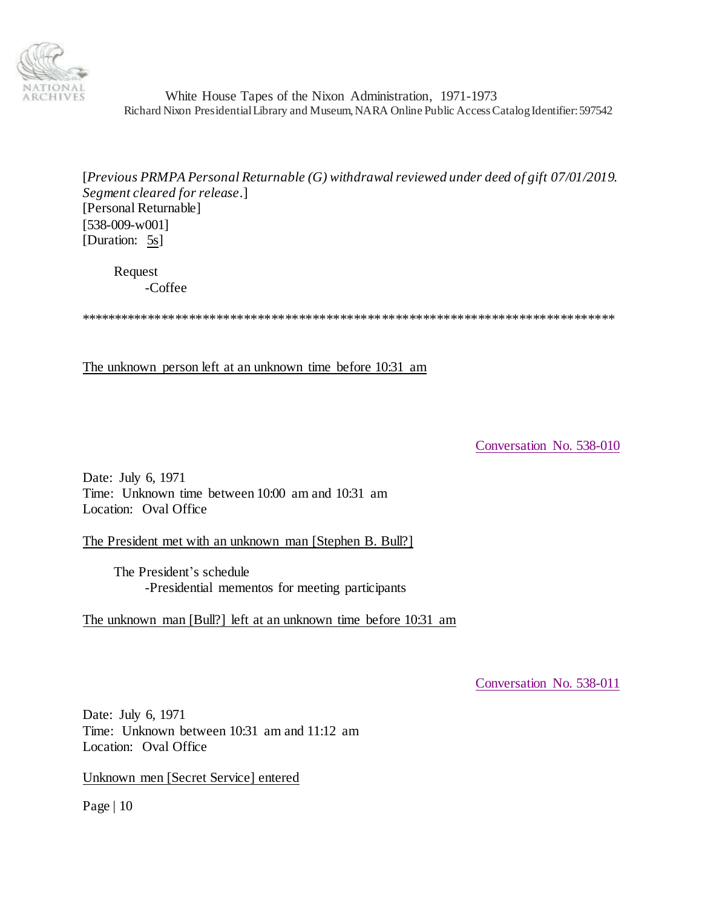

[*Previous PRMPA Personal Returnable (G) withdrawal reviewed under deed of gift 07/01/2019. Segment cleared for release*.] [Personal Returnable] [538-009-w001] [Duration: 5s]

Request -Coffee

\*\*\*\*\*\*\*\*\*\*\*\*\*\*\*\*\*\*\*\*\*\*\*\*\*\*\*\*\*\*\*\*\*\*\*\*\*\*\*\*\*\*\*\*\*\*\*\*\*\*\*\*\*\*\*\*\*\*\*\*\*\*\*\*\*\*\*\*\*\*\*\*\*\*\*\*\*\*

The unknown person left at an unknown time before 10:31 am

<span id="page-9-0"></span>[Conversation No. 538-010](#page-0-2)

Date: July 6, 1971 Time: Unknown time between 10:00 am and 10:31 am Location: Oval Office

The President met with an unknown man [Stephen B. Bull?]

The President's schedule -Presidential mementos for meeting participants

The unknown man [Bull?] left at an unknown time before 10:31 am

<span id="page-9-1"></span>[Conversation No. 538-011](#page-0-2)

Date: July 6, 1971 Time: Unknown between 10:31 am and 11:12 am Location: Oval Office

Unknown men [Secret Service] entered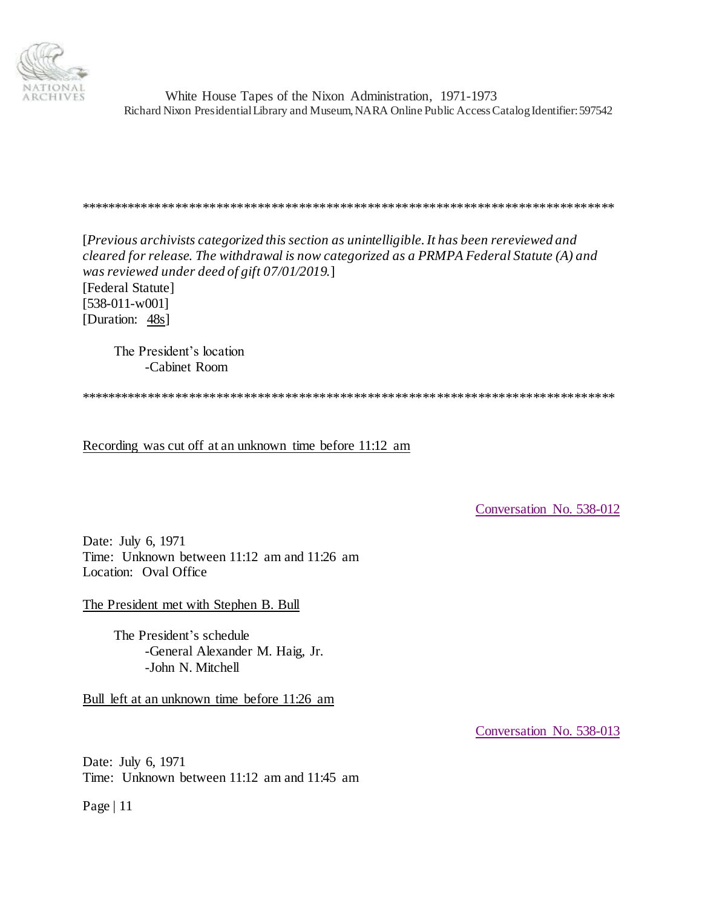

## \*\*\*\*\*\*\*\*\*\*\*\*\*\*\*\*\*\*\*\*\*\*\*\*\*\*\*\*\*\*\*\*\*\*\*\*\*\*\*\*\*\*\*\*\*\*\*\*\*\*\*\*\*\*\*\*\*\*\*\*\*\*\*\*\*\*\*\*\*\*\*\*\*\*\*\*\*\*

[*Previous archivists categorized this section as unintelligible. It has been rereviewed and cleared for release. The withdrawal is now categorized as a PRMPA Federal Statute (A) and was reviewed under deed of gift 07/01/2019.*]

[Federal Statute] [538-011-w001] [Duration: 48s]

> The President's location -Cabinet Room

\*\*\*\*\*\*\*\*\*\*\*\*\*\*\*\*\*\*\*\*\*\*\*\*\*\*\*\*\*\*\*\*\*\*\*\*\*\*\*\*\*\*\*\*\*\*\*\*\*\*\*\*\*\*\*\*\*\*\*\*\*\*\*\*\*\*\*\*\*\*\*\*\*\*\*\*\*\*

Recording was cut off at an unknown time before 11:12 am

<span id="page-10-0"></span>[Conversation No. 538-012](#page-0-2)

Date: July 6, 1971 Time: Unknown between 11:12 am and 11:26 am Location: Oval Office

The President met with Stephen B. Bull

The President's schedule -General Alexander M. Haig, Jr. -John N. Mitchell

Bull left at an unknown time before 11:26 am

<span id="page-10-1"></span>[Conversation No. 538-013](#page-0-2)

Date: July 6, 1971 Time: Unknown between 11:12 am and 11:45 am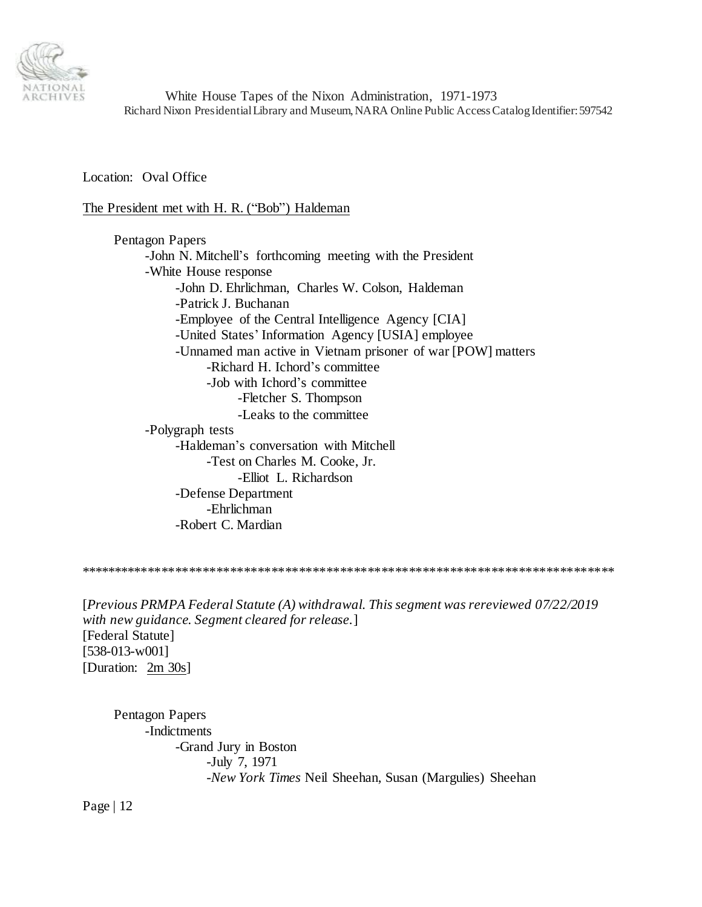

Location: Oval Office

The President met with H. R. ("Bob") Haldeman

Pentagon Papers -John N. Mitchell's forthcoming meeting with the President -White House response -John D. Ehrlichman, Charles W. Colson, Haldeman -Patrick J. Buchanan -Employee of the Central Intelligence Agency [CIA] -United States' Information Agency [USIA] employee -Unnamed man active in Vietnam prisoner of war [POW] matters -Richard H. Ichord's committee -Job with Ichord's committee -Fletcher S. Thompson -Leaks to the committee -Polygraph tests -Haldeman's conversation with Mitchell -Test on Charles M. Cooke, Jr. -Elliot L. Richardson -Defense Department -Ehrlichman -Robert C. Mardian

\*\*\*\*\*\*\*\*\*\*\*\*\*\*\*\*\*\*\*\*\*\*\*\*\*\*\*\*\*\*\*\*\*\*\*\*\*\*\*\*\*\*\*\*\*\*\*\*\*\*\*\*\*\*\*\*\*\*\*\*\*\*\*\*\*\*\*\*\*\*\*\*\*\*\*\*\*\*

[*Previous PRMPA Federal Statute (A) withdrawal. This segment was rereviewed 07/22/2019 with new guidance. Segment cleared for release.*] [Federal Statute] [538-013-w001] [Duration: 2m 30s]

Pentagon Papers -Indictments -Grand Jury in Boston -July 7, 1971 -*New York Times* Neil Sheehan, Susan (Margulies) Sheehan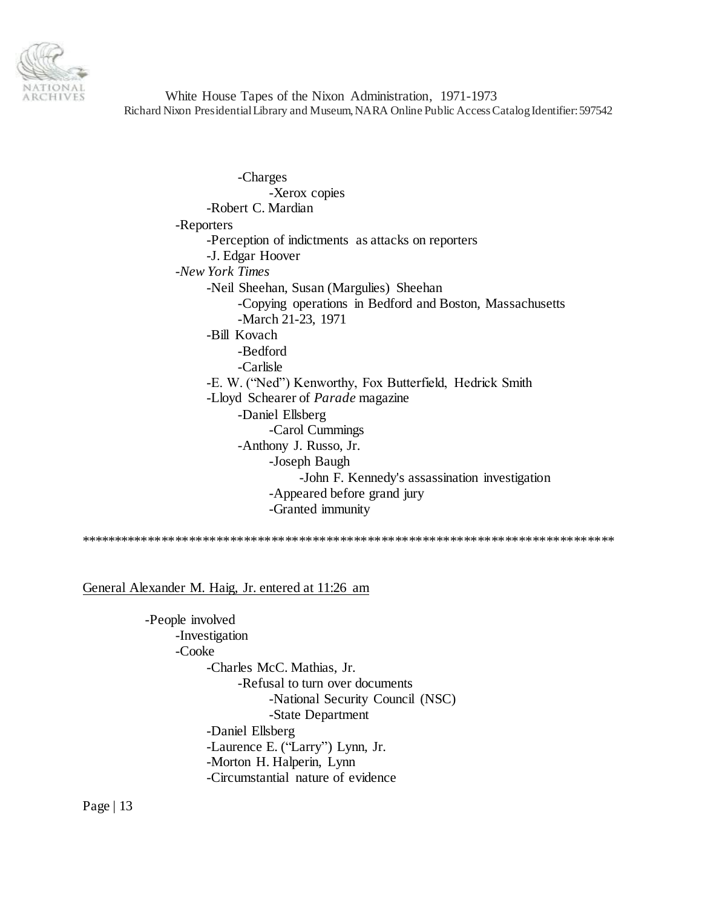

-Charges -Xerox copies -Robert C. Mardian -Reporters -Perception of indictments as attacks on reporters -J. Edgar Hoover -*New York Times* -Neil Sheehan, Susan (Margulies) Sheehan -Copying operations in Bedford and Boston, Massachusetts -March 21-23, 1971 -Bill Kovach -Bedford -Carlisle -E. W. ("Ned") Kenworthy, Fox Butterfield, Hedrick Smith -Lloyd Schearer of *Parade* magazine -Daniel Ellsberg -Carol Cummings -Anthony J. Russo, Jr. -Joseph Baugh -John F. Kennedy's assassination investigation -Appeared before grand jury -Granted immunity

\*\*\*\*\*\*\*\*\*\*\*\*\*\*\*\*\*\*\*\*\*\*\*\*\*\*\*\*\*\*\*\*\*\*\*\*\*\*\*\*\*\*\*\*\*\*\*\*\*\*\*\*\*\*\*\*\*\*\*\*\*\*\*\*\*\*\*\*\*\*\*\*\*\*\*\*\*\*

General Alexander M. Haig, Jr. entered at 11:26 am

-People involved -Investigation -Cooke -Charles McC. Mathias, Jr. -Refusal to turn over documents -National Security Council (NSC) -State Department -Daniel Ellsberg -Laurence E. ("Larry") Lynn, Jr. -Morton H. Halperin, Lynn -Circumstantial nature of evidence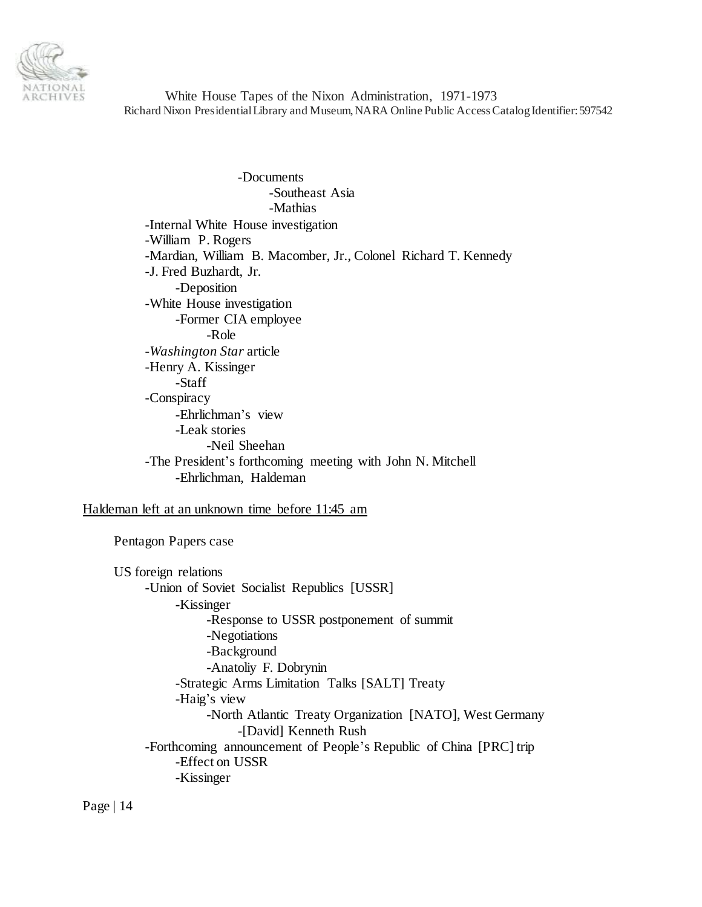

-Documents -Southeast Asia -Mathias -Internal White House investigation -William P. Rogers -Mardian, William B. Macomber, Jr., Colonel Richard T. Kennedy -J. Fred Buzhardt, Jr. -Deposition -White House investigation -Former CIA employee -Role -*Washington Star* article -Henry A. Kissinger -Staff -Conspiracy -Ehrlichman's view -Leak stories -Neil Sheehan -The President's forthcoming meeting with John N. Mitchell -Ehrlichman, Haldeman

Haldeman left at an unknown time before 11:45 am

Pentagon Papers case

US foreign relations -Union of Soviet Socialist Republics [USSR] -Kissinger -Response to USSR postponement of summit -Negotiations -Background -Anatoliy F. Dobrynin -Strategic Arms Limitation Talks [SALT] Treaty -Haig's view -North Atlantic Treaty Organization [NATO], West Germany -[David] Kenneth Rush -Forthcoming announcement of People's Republic of China [PRC] trip -Effect on USSR -Kissinger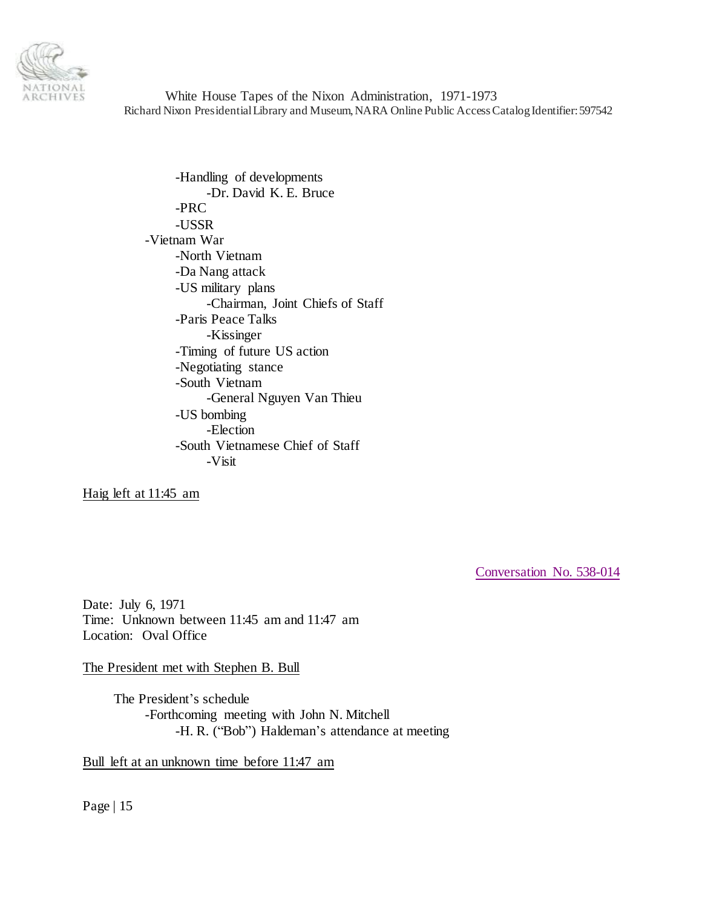

-Handling of developments -Dr. David K. E. Bruce -PRC -USSR -Vietnam War -North Vietnam -Da Nang attack -US military plans -Chairman, Joint Chiefs of Staff -Paris Peace Talks -Kissinger -Timing of future US action -Negotiating stance -South Vietnam -General Nguyen Van Thieu -US bombing -Election -South Vietnamese Chief of Staff -Visit

Haig left at 11:45 am

<span id="page-14-0"></span>[Conversation No. 538-014](#page-0-2)

Date: July 6, 1971 Time: Unknown between 11:45 am and 11:47 am Location: Oval Office

The President met with Stephen B. Bull

The President's schedule -Forthcoming meeting with John N. Mitchell -H. R. ("Bob") Haldeman's attendance at meeting

Bull left at an unknown time before 11:47 am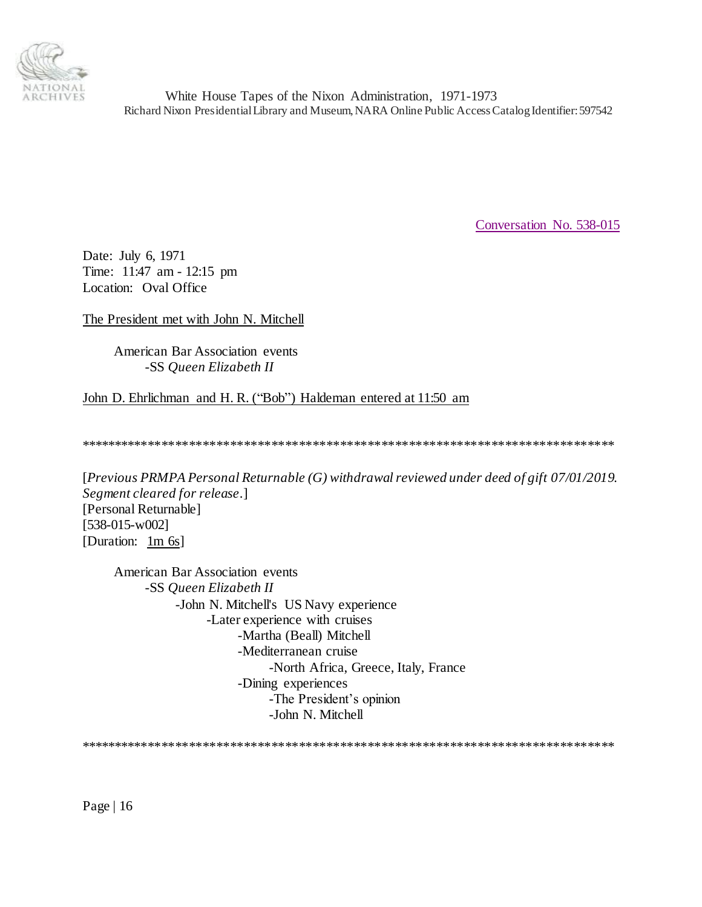

<span id="page-15-0"></span>[Conversation No. 538-015](#page-0-2)

Date: July 6, 1971 Time: 11:47 am - 12:15 pm Location: Oval Office

The President met with John N. Mitchell

American Bar Association events -SS *Queen Elizabeth II*

John D. Ehrlichman and H. R. ("Bob") Haldeman entered at 11:50 am

\*\*\*\*\*\*\*\*\*\*\*\*\*\*\*\*\*\*\*\*\*\*\*\*\*\*\*\*\*\*\*\*\*\*\*\*\*\*\*\*\*\*\*\*\*\*\*\*\*\*\*\*\*\*\*\*\*\*\*\*\*\*\*\*\*\*\*\*\*\*\*\*\*\*\*\*\*\*

[*Previous PRMPA Personal Returnable (G) withdrawal reviewed under deed of gift 07/01/2019. Segment cleared for release*.] [Personal Returnable] [538-015-w002] [Duration: 1m 6s]

American Bar Association events -SS *Queen Elizabeth II* -John N. Mitchell's US Navy experience -Later experience with cruises -Martha (Beall) Mitchell -Mediterranean cruise -North Africa, Greece, Italy, France -Dining experiences -The President's opinion -John N. Mitchell

\*\*\*\*\*\*\*\*\*\*\*\*\*\*\*\*\*\*\*\*\*\*\*\*\*\*\*\*\*\*\*\*\*\*\*\*\*\*\*\*\*\*\*\*\*\*\*\*\*\*\*\*\*\*\*\*\*\*\*\*\*\*\*\*\*\*\*\*\*\*\*\*\*\*\*\*\*\*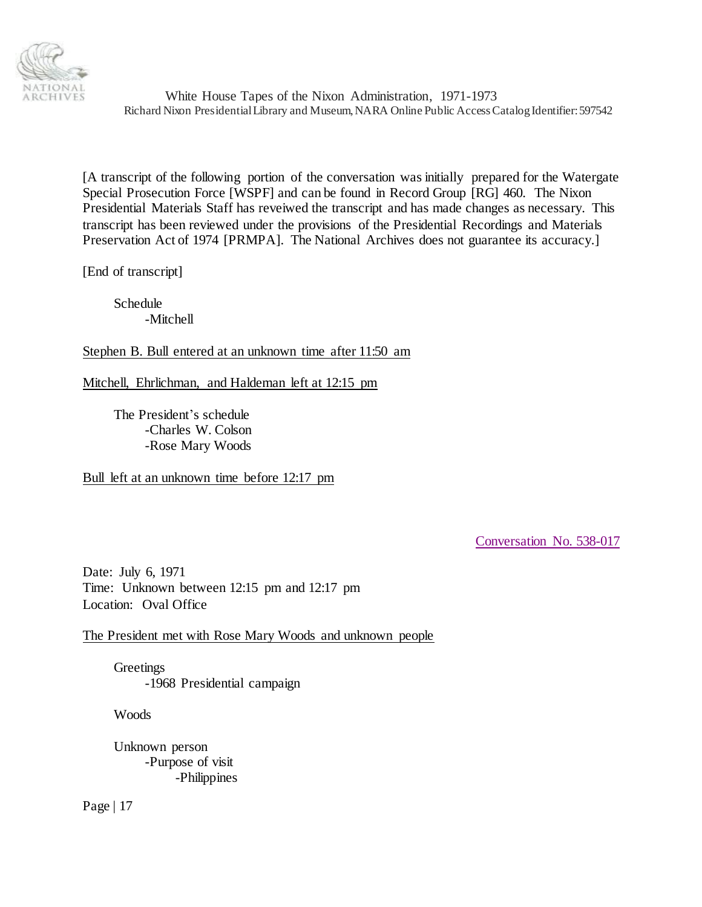

[A transcript of the following portion of the conversation was initially prepared for the Watergate Special Prosecution Force [WSPF] and can be found in Record Group [RG] 460. The Nixon Presidential Materials Staff has reveiwed the transcript and has made changes as necessary. This transcript has been reviewed under the provisions of the Presidential Recordings and Materials Preservation Act of 1974 [PRMPA]. The National Archives does not guarantee its accuracy.]

[End of transcript]

Schedule -Mitchell

Stephen B. Bull entered at an unknown time after 11:50 am

Mitchell, Ehrlichman, and Haldeman left at 12:15 pm

The President's schedule -Charles W. Colson -Rose Mary Woods

Bull left at an unknown time before 12:17 pm

<span id="page-16-0"></span>[Conversation No. 538-017](#page-0-2)

Date: July 6, 1971 Time: Unknown between 12:15 pm and 12:17 pm Location: Oval Office

The President met with Rose Mary Woods and unknown people

**Greetings** -1968 Presidential campaign

**Woods** 

Unknown person -Purpose of visit -Philippines